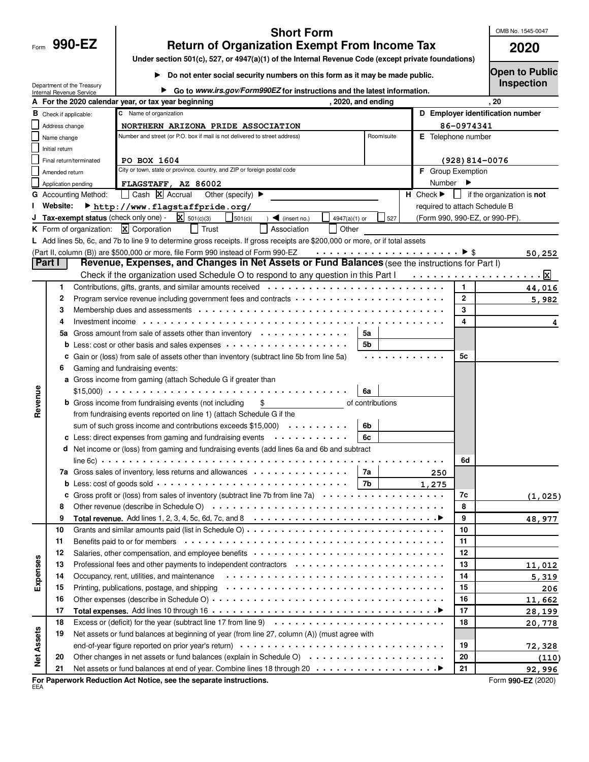| Form |  | 990. |  |
|------|--|------|--|
|      |  |      |  |

## **Short Form**

OMB No. 1545-0047

| 990-EZ | <b>Return of Organization Exempt From Income Tax</b> | 2020 |
|--------|------------------------------------------------------|------|
|        |                                                      |      |

**Under section 501(c), 527, or 4947(a)(1) of the Internal Revenue Code (except private foundations)**

**Do not enter social security numbers on this form as it may be made public.** 

**Open to Public Inspection**

|                   |                                  | Department of the Treasury<br>Internal Revenue Service | Go to www.irs.gov/Form990EZ for instructions and the latest information.                                                                                                                                                      |                      |                                  | <b>IIISPECUOII</b>                       |
|-------------------|----------------------------------|--------------------------------------------------------|-------------------------------------------------------------------------------------------------------------------------------------------------------------------------------------------------------------------------------|----------------------|----------------------------------|------------------------------------------|
|                   |                                  |                                                        | A For the 2020 calendar year, or tax year beginning                                                                                                                                                                           | , 2020, and ending   |                                  | . 20                                     |
|                   | $\mathbf B$ Check if applicable: |                                                        | C Name of organization                                                                                                                                                                                                        |                      | D Employer identification number |                                          |
|                   | Address change                   |                                                        | NORTHERN ARIZONA PRIDE ASSOCIATION                                                                                                                                                                                            |                      | 86-0974341                       |                                          |
|                   | Name change                      |                                                        | Number and street (or P.O. box if mail is not delivered to street address)                                                                                                                                                    | Room/suite           | E Telephone number               |                                          |
|                   | Initial return                   |                                                        |                                                                                                                                                                                                                               |                      |                                  |                                          |
|                   |                                  | Final return/terminated                                | PO BOX 1604                                                                                                                                                                                                                   |                      | $(928) 814 - 0076$               |                                          |
|                   | Amended return                   |                                                        | City or town, state or province, country, and ZIP or foreign postal code                                                                                                                                                      |                      | F Group Exemption                |                                          |
|                   | Application pending              |                                                        | FLAGSTAFF, AZ 86002                                                                                                                                                                                                           |                      | Number<br>►                      |                                          |
|                   |                                  | <b>G</b> Accounting Method:                            | Cash X Accrual<br>Other (specify) $\blacktriangleright$                                                                                                                                                                       |                      | $H$ Check $\blacktriangleright$  | $\Box$ if the organization is <b>not</b> |
|                   | Website:                         |                                                        | http://www.flagstaffpride.org/                                                                                                                                                                                                |                      | required to attach Schedule B    |                                          |
|                   |                                  |                                                        | <b>Tax-exempt status</b> (check only one) - $\boxed{\mathbf{X}}$ 501(c)(3)<br>501(c)<br>$\blacksquare$ (insert no.)                                                                                                           | 4947(a)(1) or<br>527 | (Form 990, 990-EZ, or 990-PF).   |                                          |
|                   |                                  |                                                        | K Form of organization: $X$ Corporation<br>$\Box$ Trust<br>Association<br>Other                                                                                                                                               |                      |                                  |                                          |
|                   |                                  |                                                        | L Add lines 5b, 6c, and 7b to line 9 to determine gross receipts. If gross receipts are \$200,000 or more, or if total assets                                                                                                 |                      |                                  |                                          |
|                   |                                  |                                                        | (Part II, column (B)) are \$500,000 or more, file Form 990 instead of Form 990-EZ                                                                                                                                             |                      |                                  | 50,252                                   |
|                   | Part I                           |                                                        | Revenue, Expenses, and Changes in Net Assets or Fund Balances (see the instructions for Part I)                                                                                                                               |                      |                                  |                                          |
|                   |                                  |                                                        | Check if the organization used Schedule O to respond to any question in this Part $1, \ldots, \ldots, \ldots, \ldots, \ldots, \mathbb{X}$                                                                                     |                      |                                  |                                          |
|                   | 1                                |                                                        |                                                                                                                                                                                                                               |                      | $\mathbf{1}$                     | 44,016                                   |
|                   | 2                                |                                                        |                                                                                                                                                                                                                               |                      | $\mathbf{2}$                     | 5,982                                    |
|                   | 3                                |                                                        |                                                                                                                                                                                                                               |                      | 3                                |                                          |
|                   |                                  |                                                        | Investment income example. The set of the set of the set of the set of the set of the set of the set of the set of the set of the set of the set of the set of the set of the set of the set of the set of the set of the set |                      | 4                                | 4                                        |
|                   | 5а                               |                                                        | Gross amount from sale of assets other than inventory $\cdots \cdots \cdots \cdots$                                                                                                                                           | 5a                   |                                  |                                          |
|                   |                                  |                                                        | <b>b</b> Less: cost or other basis and sales expenses $\cdots \cdots \cdots \cdots \cdots \cdots$                                                                                                                             | 5b                   |                                  |                                          |
|                   | с                                |                                                        | Gain or (loss) from sale of assets other than inventory (subtract line 5b from line 5a)                                                                                                                                       |                      | 5с                               |                                          |
|                   | 6                                |                                                        | Gaming and fundraising events:                                                                                                                                                                                                |                      |                                  |                                          |
|                   |                                  |                                                        | a Gross income from gaming (attach Schedule G if greater than                                                                                                                                                                 |                      |                                  |                                          |
|                   |                                  |                                                        |                                                                                                                                                                                                                               | 6a                   |                                  |                                          |
| Revenue           |                                  |                                                        | <b>b</b> Gross income from fundraising events (not including<br>\$                                                                                                                                                            | of contributions     |                                  |                                          |
|                   |                                  |                                                        | from fundraising events reported on line 1) (attach Schedule G if the                                                                                                                                                         |                      |                                  |                                          |
|                   |                                  |                                                        | sum of such gross income and contributions exceeds $$15,000$                                                                                                                                                                  | 6b                   |                                  |                                          |
|                   |                                  |                                                        | c Less: direct expenses from gaming and fundraising events $\dots \dots \dots \dots$                                                                                                                                          | 6с                   |                                  |                                          |
|                   |                                  |                                                        | d Net income or (loss) from gaming and fundraising events (add lines 6a and 6b and subtract                                                                                                                                   |                      |                                  |                                          |
|                   |                                  |                                                        |                                                                                                                                                                                                                               |                      | 6d                               |                                          |
|                   |                                  |                                                        | 7a Gross sales of inventory, less returns and allowances $\cdots \cdots \cdots \cdots$                                                                                                                                        | 7a                   | 250                              |                                          |
|                   |                                  |                                                        |                                                                                                                                                                                                                               | 7b                   | 1,275                            |                                          |
|                   |                                  |                                                        | Gross profit or (loss) from sales of inventory (subtract line 7b from line 7a)                                                                                                                                                |                      | 7c                               | (1, 025)                                 |
|                   | 8                                |                                                        |                                                                                                                                                                                                                               |                      | 8                                |                                          |
|                   | 9                                |                                                        | Total revenue. Add lines 1, 2, 3, 4, 5c, 6d, 7c, and 8 $\cdots\cdots\cdots\cdots\cdots\cdots\cdots\cdots\cdots\cdots\cdots\cdots\cdots$                                                                                       |                      | 9                                | 48,977                                   |
|                   | 10                               |                                                        |                                                                                                                                                                                                                               |                      | 10                               |                                          |
|                   | 11                               |                                                        |                                                                                                                                                                                                                               |                      | 11                               |                                          |
|                   | 12                               |                                                        | Salaries, other compensation, and employee benefits                                                                                                                                                                           |                      | 12                               |                                          |
|                   | 13                               |                                                        |                                                                                                                                                                                                                               |                      | 13                               | 11,012                                   |
| Expenses          | 14                               |                                                        |                                                                                                                                                                                                                               |                      | 14                               | 5,319                                    |
|                   | 15                               |                                                        |                                                                                                                                                                                                                               |                      | 15                               | 206                                      |
|                   | 16                               |                                                        |                                                                                                                                                                                                                               |                      | 16                               | 11,662                                   |
|                   | 17                               |                                                        |                                                                                                                                                                                                                               |                      | 17                               | 28,199                                   |
|                   | 18                               |                                                        |                                                                                                                                                                                                                               |                      | 18                               | 20,778                                   |
| <b>Net Assets</b> | 19                               |                                                        | Net assets or fund balances at beginning of year (from line 27, column (A)) (must agree with                                                                                                                                  |                      |                                  |                                          |
|                   |                                  |                                                        |                                                                                                                                                                                                                               |                      | 19                               | 72,328                                   |
|                   | 20                               |                                                        | Other changes in net assets or fund balances (explain in Schedule O)                                                                                                                                                          |                      | 20                               | (110)                                    |
|                   | 21                               |                                                        |                                                                                                                                                                                                                               |                      | 21                               | 92,996                                   |
|                   |                                  |                                                        | For Paperwork Reduction Act Notice, see the separate instructions.                                                                                                                                                            |                      |                                  | Form 990-EZ (2020)                       |

EEA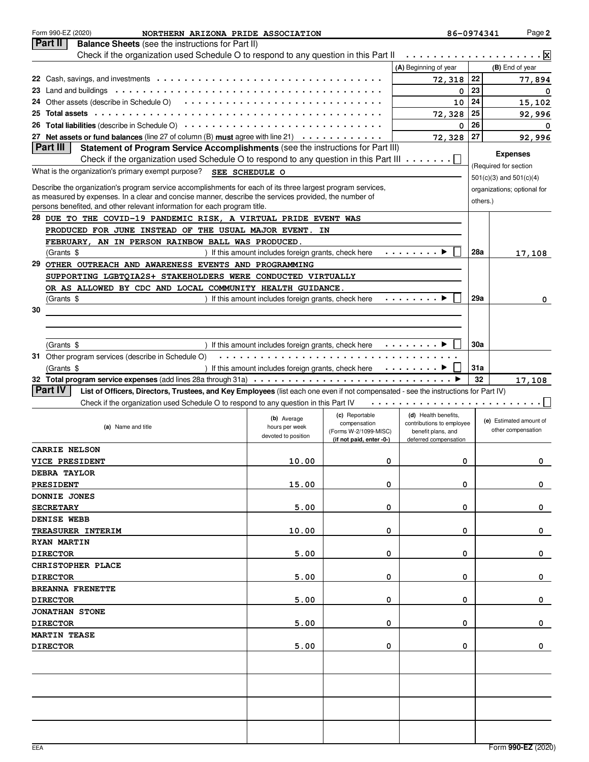|    | Form 990-EZ (2020)<br>NORTHERN ARIZONA PRIDE ASSOCIATION                                                                                                                                                                       |                                                                          |                                       | 86-0974341                                      |          | Page 2                      |
|----|--------------------------------------------------------------------------------------------------------------------------------------------------------------------------------------------------------------------------------|--------------------------------------------------------------------------|---------------------------------------|-------------------------------------------------|----------|-----------------------------|
|    | Part II<br><b>Balance Sheets</b> (see the instructions for Part II)                                                                                                                                                            |                                                                          |                                       |                                                 |          |                             |
|    | Check if the organization used Schedule O to respond to any question in this Part II                                                                                                                                           |                                                                          |                                       | .                                               |          | . Ixl                       |
|    |                                                                                                                                                                                                                                |                                                                          |                                       | (A) Beginning of year                           |          | (B) End of year             |
|    |                                                                                                                                                                                                                                |                                                                          |                                       | 72,318                                          | 22       | 77,894                      |
|    |                                                                                                                                                                                                                                |                                                                          |                                       | 0                                               | 23       | 0                           |
|    |                                                                                                                                                                                                                                |                                                                          |                                       | 10                                              | 24       | 15,102                      |
| 25 | Total assets (a) in the context of the context of the context of the context of the context of the context of the context of the context of the context of the context of the context of the context of the context of the con |                                                                          |                                       | 72,328                                          | 25       | 92,996                      |
|    |                                                                                                                                                                                                                                |                                                                          |                                       | 0                                               | 26       | 0                           |
|    | 27 Net assets or fund balances (line 27 of column (B) must agree with line 21) $\cdots \cdots \cdots$<br><b>Part III</b>                                                                                                       |                                                                          |                                       | 72,328                                          | 27       | 92,996                      |
|    | Statement of Program Service Accomplishments (see the instructions for Part III)                                                                                                                                               |                                                                          |                                       |                                                 |          | <b>Expenses</b>             |
|    | Check if the organization used Schedule O to respond to any question in this Part III $\dots \dots$                                                                                                                            |                                                                          |                                       |                                                 |          | (Required for section       |
|    | What is the organization's primary exempt purpose? SEE SCHEDULE O                                                                                                                                                              |                                                                          |                                       |                                                 |          | $501(c)(3)$ and $501(c)(4)$ |
|    | Describe the organization's program service accomplishments for each of its three largest program services,                                                                                                                    |                                                                          |                                       |                                                 |          | organizations; optional for |
|    | as measured by expenses. In a clear and concise manner, describe the services provided, the number of                                                                                                                          |                                                                          |                                       |                                                 | others.) |                             |
|    | persons benefited, and other relevant information for each program title.                                                                                                                                                      |                                                                          |                                       |                                                 |          |                             |
|    | 28 DUE TO THE COVID-19 PANDEMIC RISK, A VIRTUAL PRIDE EVENT WAS                                                                                                                                                                |                                                                          |                                       |                                                 |          |                             |
|    | PRODUCED FOR JUNE INSTEAD OF THE USUAL MAJOR EVENT. IN                                                                                                                                                                         |                                                                          |                                       |                                                 |          |                             |
|    | FEBRUARY, AN IN PERSON RAINBOW BALL WAS PRODUCED.                                                                                                                                                                              |                                                                          |                                       |                                                 |          |                             |
|    | (Grants \$                                                                                                                                                                                                                     | ) If this amount includes foreign grants, check here                     |                                       | a sa sa sa sa K                                 | 28a      | 17,108                      |
|    | 29 OTHER OUTREACH AND AWARENESS EVENTS AND PROGRAMMING                                                                                                                                                                         |                                                                          |                                       |                                                 |          |                             |
|    | SUPPORTING LGBTQIA2S+ STAKEHOLDERS WERE CONDUCTED VIRTUALLY                                                                                                                                                                    |                                                                          |                                       |                                                 |          |                             |
|    | OR AS ALLOWED BY CDC AND LOCAL COMMUNITY HEALTH GUIDANCE.                                                                                                                                                                      |                                                                          |                                       |                                                 |          |                             |
|    | (Grants \$                                                                                                                                                                                                                     | If this amount includes foreign grants, check here                       |                                       | i sa sa sa sa k∗                                | 29a      | 0                           |
| 30 |                                                                                                                                                                                                                                |                                                                          |                                       |                                                 |          |                             |
|    |                                                                                                                                                                                                                                |                                                                          |                                       |                                                 |          |                             |
|    |                                                                                                                                                                                                                                |                                                                          |                                       |                                                 |          |                             |
|    | (Grants \$                                                                                                                                                                                                                     | If this amount includes foreign grants, check here $\cdots \cdots$       |                                       |                                                 | 30a      |                             |
|    | 31 Other program services (describe in Schedule O)                                                                                                                                                                             |                                                                          |                                       |                                                 |          |                             |
|    | (Grants \$                                                                                                                                                                                                                     | ) If this amount includes foreign grants, check here $\dots \dots \dots$ |                                       |                                                 | 31a      |                             |
|    |                                                                                                                                                                                                                                |                                                                          |                                       |                                                 | 32       | 17,108                      |
|    | <b>Part IV</b><br>List of Officers, Directors, Trustees, and Key Employees (list each one even if not compensated - see the instructions for Part IV)                                                                          |                                                                          |                                       |                                                 |          |                             |
|    | Check if the organization used Schedule O to respond to any question in this Part IV                                                                                                                                           |                                                                          |                                       |                                                 |          |                             |
|    |                                                                                                                                                                                                                                | (b) Average                                                              | (c) Reportable                        | (d) Health benefits,                            |          | (e) Estimated amount of     |
|    | (a) Name and title                                                                                                                                                                                                             | hours per week                                                           | compensation<br>(Forms W-2/1099-MISC) | contributions to employee<br>benefit plans, and |          | other compensation          |
|    |                                                                                                                                                                                                                                | devoted to position                                                      | (if not paid, enter -0-)              | deferred compensation                           |          |                             |
|    | <b>CARRIE NELSON</b>                                                                                                                                                                                                           |                                                                          |                                       |                                                 |          |                             |
|    | <b>VICE PRESIDENT</b>                                                                                                                                                                                                          | 10.00                                                                    | 0                                     | 0                                               |          | O.                          |
|    | <b>DEBRA TAYLOR</b>                                                                                                                                                                                                            |                                                                          |                                       |                                                 |          |                             |
|    | PRESIDENT                                                                                                                                                                                                                      | 15.00                                                                    | 0                                     | 0                                               |          | 0                           |
|    | DONNIE JONES                                                                                                                                                                                                                   |                                                                          |                                       |                                                 |          |                             |
|    | <b>SECRETARY</b>                                                                                                                                                                                                               | 5.00                                                                     | 0                                     | 0                                               |          | 0                           |
|    | DENISE WEBB                                                                                                                                                                                                                    |                                                                          |                                       |                                                 |          |                             |
|    | TREASURER INTERIM                                                                                                                                                                                                              | 10.00                                                                    | 0                                     | 0                                               |          | 0                           |
|    | <b>RYAN MARTIN</b>                                                                                                                                                                                                             |                                                                          |                                       |                                                 |          |                             |
|    | <b>DIRECTOR</b>                                                                                                                                                                                                                | 5.00                                                                     | 0                                     | 0                                               |          | 0                           |
|    | CHRISTOPHER PLACE                                                                                                                                                                                                              |                                                                          |                                       |                                                 |          |                             |
|    | <b>DIRECTOR</b>                                                                                                                                                                                                                | 5.00                                                                     | 0                                     | 0                                               |          | 0                           |
|    | <b>BREANNA FRENETTE</b>                                                                                                                                                                                                        |                                                                          |                                       |                                                 |          |                             |
|    | <b>DIRECTOR</b>                                                                                                                                                                                                                | 5.00                                                                     | 0                                     | 0                                               |          | 0                           |
|    | <b>JONATHAN STONE</b>                                                                                                                                                                                                          |                                                                          |                                       |                                                 |          |                             |
|    | <b>DIRECTOR</b>                                                                                                                                                                                                                | 5.00                                                                     | 0                                     | 0                                               |          | 0                           |
|    | <b>MARTIN TEASE</b>                                                                                                                                                                                                            |                                                                          |                                       |                                                 |          |                             |
|    | <b>DIRECTOR</b>                                                                                                                                                                                                                | 5.00                                                                     | 0                                     | 0                                               |          | 0                           |
|    |                                                                                                                                                                                                                                |                                                                          |                                       |                                                 |          |                             |
|    |                                                                                                                                                                                                                                |                                                                          |                                       |                                                 |          |                             |
|    |                                                                                                                                                                                                                                |                                                                          |                                       |                                                 |          |                             |
|    |                                                                                                                                                                                                                                |                                                                          |                                       |                                                 |          |                             |
|    |                                                                                                                                                                                                                                |                                                                          |                                       |                                                 |          |                             |
|    |                                                                                                                                                                                                                                |                                                                          |                                       |                                                 |          |                             |
|    |                                                                                                                                                                                                                                |                                                                          |                                       |                                                 |          |                             |
|    |                                                                                                                                                                                                                                |                                                                          |                                       |                                                 |          |                             |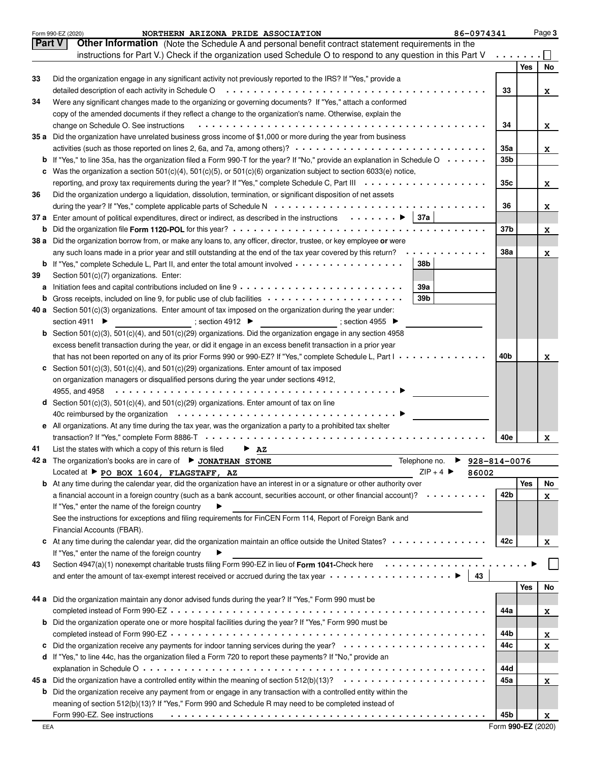|    | 86-0974341<br>Form 990-EZ (2020)<br>NORTHERN ARIZONA PRIDE ASSOCIATION                                                                       |                 |     | Page 3 |
|----|----------------------------------------------------------------------------------------------------------------------------------------------|-----------------|-----|--------|
|    | Part V<br>Other Information (Note the Schedule A and personal benefit contract statement requirements in the                                 |                 |     |        |
|    | instructions for Part V.) Check if the organization used Schedule O to respond to any question in this Part V                                |                 |     |        |
|    |                                                                                                                                              |                 | Yes | No     |
| 33 | Did the organization engage in any significant activity not previously reported to the IRS? If "Yes," provide a                              |                 |     |        |
|    |                                                                                                                                              | 33              |     | x      |
| 34 | Were any significant changes made to the organizing or governing documents? If "Yes," attach a conformed                                     |                 |     |        |
|    | copy of the amended documents if they reflect a change to the organization's name. Otherwise, explain the                                    |                 |     |        |
|    |                                                                                                                                              | 34              |     |        |
|    | change on Schedule O. See instructions                                                                                                       |                 |     | x      |
|    | 35 a Did the organization have unrelated business gross income of \$1,000 or more during the year from business                              |                 |     |        |
|    |                                                                                                                                              | 35a             |     | x      |
|    | <b>b</b> If "Yes," to line 35a, has the organization filed a Form 990-T for the year? If "No," provide an explanation in Schedule O $\cdots$ | 35b             |     |        |
| c  | Was the organization a section $501(c)(4)$ , $501(c)(5)$ , or $501(c)(6)$ organization subject to section 6033(e) notice,                    |                 |     |        |
|    |                                                                                                                                              | 35c             |     | x      |
| 36 | Did the organization undergo a liquidation, dissolution, termination, or significant disposition of net assets                               |                 |     |        |
|    |                                                                                                                                              | 36              |     | x      |
|    | 37 a Enter amount of political expenditures, direct or indirect, as described in the instructions ▶ 37a                                      |                 |     |        |
|    |                                                                                                                                              | 37b             |     | x      |
|    | 38 a Did the organization borrow from, or make any loans to, any officer, director, trustee, or key employee or were                         |                 |     |        |
|    | any such loans made in a prior year and still outstanding at the end of the tax year covered by this return? $\cdots \cdots \cdots$          | <b>38a</b>      |     | x      |
|    | <b>b</b> If "Yes," complete Schedule L, Part II, and enter the total amount involved<br>38b                                                  |                 |     |        |
| 39 | Section 501(c)(7) organizations. Enter:                                                                                                      |                 |     |        |
| a  | 39a                                                                                                                                          |                 |     |        |
|    | <b>b</b> Gross receipts, included on line 9, for public use of club facilities<br>39 <sub>b</sub>                                            |                 |     |        |
|    | 40 a Section $501(c)(3)$ organizations. Enter amount of tax imposed on the organization during the year under:                               |                 |     |        |
|    | $\overline{\phantom{a}}$ ; section 4955<br>$\overline{\phantom{a}}$ ; section 4912<br>section 4911 ▶                                         |                 |     |        |
|    |                                                                                                                                              |                 |     |        |
|    | <b>b</b> Section 501(c)(3), 501(c)(4), and 501(c)(29) organizations. Did the organization engage in any section 4958                         |                 |     |        |
|    | excess benefit transaction during the year, or did it engage in an excess benefit transaction in a prior year                                |                 |     |        |
|    | that has not been reported on any of its prior Forms 990 or 990-EZ? If "Yes," complete Schedule L, Part $1, , , , ,$                         | 40 <sub>b</sub> |     | x      |
|    | c Section 501(c)(3), 501(c)(4), and 501(c)(29) organizations. Enter amount of tax imposed                                                    |                 |     |        |
|    | on organization managers or disqualified persons during the year under sections 4912,                                                        |                 |     |        |
|    |                                                                                                                                              |                 |     |        |
|    | <b>d</b> Section 501(c)(3), 501(c)(4), and 501(c)(29) organizations. Enter amount of tax on line                                             |                 |     |        |
|    |                                                                                                                                              |                 |     |        |
|    | e All organizations. At any time during the tax year, was the organization a party to a prohibited tax shelter                               |                 |     |        |
|    |                                                                                                                                              | 40e             |     | x      |
| 41 | List the states with which a copy of this return is filed<br>$\overline{P}$ AZ                                                               |                 |     |        |
|    | Telephone no. ▶ 928-814-0076<br>The organization's books are in care of ▶ JONATHAN STONE                                                     |                 |     |        |
|    | $ZIP + 4$<br>Located at P PO BOX 1604, FLAGSTAFF, AZ<br>86002                                                                                |                 |     |        |
|    | <b>b</b> At any time during the calendar year, did the organization have an interest in or a signature or other authority over               |                 | Yes | No     |
|    | a financial account in a foreign country (such as a bank account, securities account, or other financial account)? $\cdots \cdots$           | 42b             |     | x      |
|    | If "Yes," enter the name of the foreign country                                                                                              |                 |     |        |
|    | See the instructions for exceptions and filing requirements for FinCEN Form 114, Report of Foreign Bank and                                  |                 |     |        |
|    | Financial Accounts (FBAR).                                                                                                                   |                 |     |        |
|    | c At any time during the calendar year, did the organization maintain an office outside the United States?                                   | 42c             |     | x      |
|    | If "Yes," enter the name of the foreign country<br>▶                                                                                         |                 |     |        |
| 43 | Section 4947(a)(1) nonexempt charitable trusts filing Form 990-EZ in lieu of Form 1041-Check here                                            |                 |     |        |
|    | and enter the amount of tax-exempt interest received or accrued during the tax year $\dots \dots \dots \dots \dots \dots$<br>  43            |                 |     |        |
|    |                                                                                                                                              |                 | Yes | No     |
|    | 44 a Did the organization maintain any donor advised funds during the year? If "Yes," Form 990 must be                                       |                 |     |        |
|    |                                                                                                                                              |                 |     |        |
|    |                                                                                                                                              | 44a             |     | x      |
|    | b Did the organization operate one or more hospital facilities during the year? If "Yes," Form 990 must be                                   |                 |     |        |
|    |                                                                                                                                              | 44b             |     | x      |
|    |                                                                                                                                              | 44с             |     | x      |
|    | d If "Yes," to line 44c, has the organization filed a Form 720 to report these payments? If "No," provide an                                 |                 |     |        |
|    |                                                                                                                                              | 44d             |     |        |
|    | 45 a Did the organization have a controlled entity within the meaning of section 512(b)(13)?                                                 | 45a             |     | x      |
|    | <b>b</b> Did the organization receive any payment from or engage in any transaction with a controlled entity within the                      |                 |     |        |
|    | meaning of section 512(b)(13)? If "Yes," Form 990 and Schedule R may need to be completed instead of                                         |                 |     |        |
|    | Form 990-EZ. See instructions                                                                                                                | 45b             |     | X      |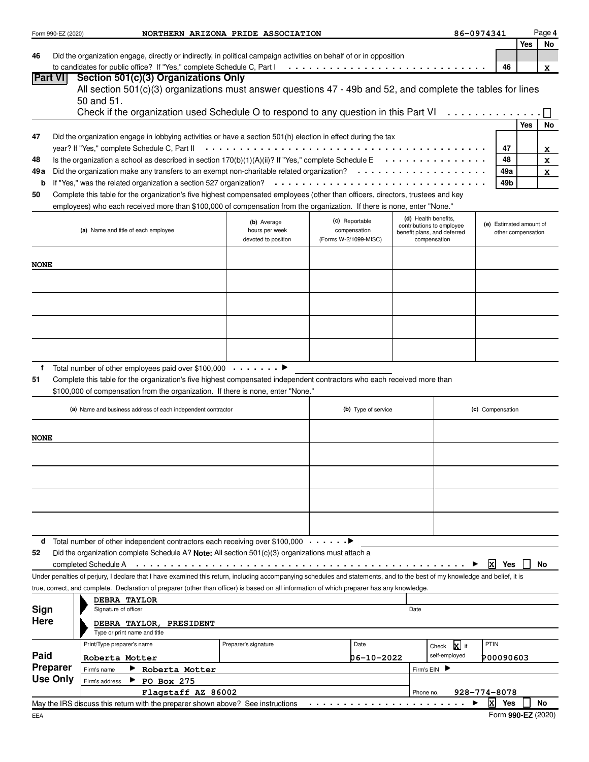|                | Form 990-EZ (2020) | NORTHERN ARIZONA PRIDE ASSOCIATION                                                                                                                                         |                                       |                                       |           |                                                   | 86-0974341              |                    | Page 4 |
|----------------|--------------------|----------------------------------------------------------------------------------------------------------------------------------------------------------------------------|---------------------------------------|---------------------------------------|-----------|---------------------------------------------------|-------------------------|--------------------|--------|
|                |                    |                                                                                                                                                                            |                                       |                                       |           |                                                   |                         | <b>Yes</b>         | No     |
| 46             |                    | Did the organization engage, directly or indirectly, in political campaign activities on behalf of or in opposition                                                        |                                       |                                       |           |                                                   |                         |                    |        |
| <b>Part VI</b> |                    | to candidates for public office? If "Yes," complete Schedule C, Part I<br>Section 501(c)(3) Organizations Only                                                             |                                       |                                       |           |                                                   | 46                      |                    | x      |
|                |                    | All section 501(c)(3) organizations must answer questions 47 - 49b and 52, and complete the tables for lines                                                               |                                       |                                       |           |                                                   |                         |                    |        |
|                |                    | 50 and 51.                                                                                                                                                                 |                                       |                                       |           |                                                   |                         |                    |        |
|                |                    | Check if the organization used Schedule O to respond to any question in this Part VI                                                                                       |                                       |                                       |           |                                                   |                         |                    |        |
|                |                    |                                                                                                                                                                            |                                       |                                       |           |                                                   |                         | <b>Yes</b>         | No     |
| 47             |                    | Did the organization engage in lobbying activities or have a section 501(h) election in effect during the tax                                                              |                                       |                                       |           |                                                   |                         |                    |        |
|                |                    | year? If "Yes," complete Schedule C, Part II                                                                                                                               |                                       |                                       |           |                                                   | 47                      |                    | x      |
| 48             |                    | Is the organization a school as described in section $170(b)(1)(A)(ii)$ ? If "Yes," complete Schedule E $\cdots \cdots \cdots$                                             |                                       |                                       |           |                                                   | 48                      |                    | X      |
| 49 a           |                    | Did the organization make any transfers to an exempt non-charitable related organization? $\cdots \cdots \cdots \cdots$                                                    |                                       |                                       |           |                                                   | 49a                     |                    | x      |
| b              |                    |                                                                                                                                                                            |                                       |                                       |           |                                                   | 49b                     |                    |        |
| 50             |                    | Complete this table for the organization's five highest compensated employees (other than officers, directors, trustees and key                                            |                                       |                                       |           |                                                   |                         |                    |        |
|                |                    | employees) who each received more than \$100,000 of compensation from the organization. If there is none, enter "None."                                                    |                                       |                                       |           |                                                   |                         |                    |        |
|                |                    |                                                                                                                                                                            | (b) Average                           | (c) Reportable                        |           | (d) Health benefits,<br>contributions to employee | (e) Estimated amount of |                    |        |
|                |                    | (a) Name and title of each employee                                                                                                                                        | hours per week<br>devoted to position | compensation<br>(Forms W-2/1099-MISC) |           | benefit plans, and deferred<br>compensation       |                         | other compensation |        |
|                |                    |                                                                                                                                                                            |                                       |                                       |           |                                                   |                         |                    |        |
| <b>NONE</b>    |                    |                                                                                                                                                                            |                                       |                                       |           |                                                   |                         |                    |        |
|                |                    |                                                                                                                                                                            |                                       |                                       |           |                                                   |                         |                    |        |
|                |                    |                                                                                                                                                                            |                                       |                                       |           |                                                   |                         |                    |        |
|                |                    |                                                                                                                                                                            |                                       |                                       |           |                                                   |                         |                    |        |
|                |                    |                                                                                                                                                                            |                                       |                                       |           |                                                   |                         |                    |        |
|                |                    |                                                                                                                                                                            |                                       |                                       |           |                                                   |                         |                    |        |
|                |                    |                                                                                                                                                                            |                                       |                                       |           |                                                   |                         |                    |        |
|                |                    |                                                                                                                                                                            |                                       |                                       |           |                                                   |                         |                    |        |
|                |                    |                                                                                                                                                                            |                                       |                                       |           |                                                   |                         |                    |        |
| f              |                    | Total number of other employees paid over \$100,000 ▶                                                                                                                      |                                       |                                       |           |                                                   |                         |                    |        |
| 51             |                    | Complete this table for the organization's five highest compensated independent contractors who each received more than                                                    |                                       |                                       |           |                                                   |                         |                    |        |
|                |                    | \$100,000 of compensation from the organization. If there is none, enter "None."                                                                                           |                                       |                                       |           |                                                   |                         |                    |        |
|                |                    | (a) Name and business address of each independent contractor                                                                                                               |                                       | (b) Type of service                   |           |                                                   | (c) Compensation        |                    |        |
|                |                    |                                                                                                                                                                            |                                       |                                       |           |                                                   |                         |                    |        |
| <b>NONE</b>    |                    |                                                                                                                                                                            |                                       |                                       |           |                                                   |                         |                    |        |
|                |                    |                                                                                                                                                                            |                                       |                                       |           |                                                   |                         |                    |        |
|                |                    |                                                                                                                                                                            |                                       |                                       |           |                                                   |                         |                    |        |
|                |                    |                                                                                                                                                                            |                                       |                                       |           |                                                   |                         |                    |        |
|                |                    |                                                                                                                                                                            |                                       |                                       |           |                                                   |                         |                    |        |
|                |                    |                                                                                                                                                                            |                                       |                                       |           |                                                   |                         |                    |        |
|                |                    |                                                                                                                                                                            |                                       |                                       |           |                                                   |                         |                    |        |
|                |                    |                                                                                                                                                                            |                                       |                                       |           |                                                   |                         |                    |        |
|                |                    |                                                                                                                                                                            |                                       |                                       |           |                                                   |                         |                    |        |
|                |                    | <b>d</b> Total number of other independent contractors each receiving over \$100,000 $\dots \dots$                                                                         |                                       |                                       |           |                                                   |                         |                    |        |
| 52             |                    | Did the organization complete Schedule A? Note: All section $501(c)(3)$ organizations must attach a                                                                        |                                       |                                       |           |                                                   | ΙxΙ                     |                    |        |
|                |                    | Under penalties of perjury, I declare that I have examined this return, including accompanying schedules and statements, and to the best of my knowledge and belief, it is |                                       |                                       |           |                                                   | Yes                     |                    | No     |
|                |                    | true, correct, and complete. Declaration of preparer (other than officer) is based on all information of which preparer has any knowledge.                                 |                                       |                                       |           |                                                   |                         |                    |        |
|                |                    | DEBRA TAYLOR                                                                                                                                                               |                                       |                                       |           |                                                   |                         |                    |        |
| Sign           |                    | Signature of officer                                                                                                                                                       |                                       |                                       | Date      |                                                   |                         |                    |        |
| Here           |                    | DEBRA TAYLOR, PRESIDENT                                                                                                                                                    |                                       |                                       |           |                                                   |                         |                    |        |
|                |                    | Type or print name and title                                                                                                                                               |                                       |                                       |           |                                                   |                         |                    |        |
|                |                    | Print/Type preparer's name                                                                                                                                                 | Preparer's signature                  | Date                                  |           | Check X if                                        | <b>PTIN</b>             |                    |        |
| Paid           |                    | Roberta Motter                                                                                                                                                             |                                       | 06-10-2022                            |           | self-employed                                     | P00090603               |                    |        |
|                | <b>Preparer</b>    | Roberta Motter<br>Firm's name                                                                                                                                              |                                       |                                       |           | Firm's EIN                                        |                         |                    |        |
|                | <b>Use Only</b>    | $\blacktriangleright$ PO Box 275<br>Firm's address                                                                                                                         |                                       |                                       |           |                                                   |                         |                    |        |
|                |                    | Flagstaff AZ 86002                                                                                                                                                         |                                       |                                       | Phone no. |                                                   | 928-774-8078            |                    |        |
|                |                    | May the IRS discuss this return with the preparer shown above? See instructions                                                                                            |                                       |                                       |           |                                                   | $\mathbf{x}$<br>Yes     |                    | No     |
| FFA            |                    |                                                                                                                                                                            |                                       |                                       |           |                                                   | Form $990-FZ(2020)$     |                    |        |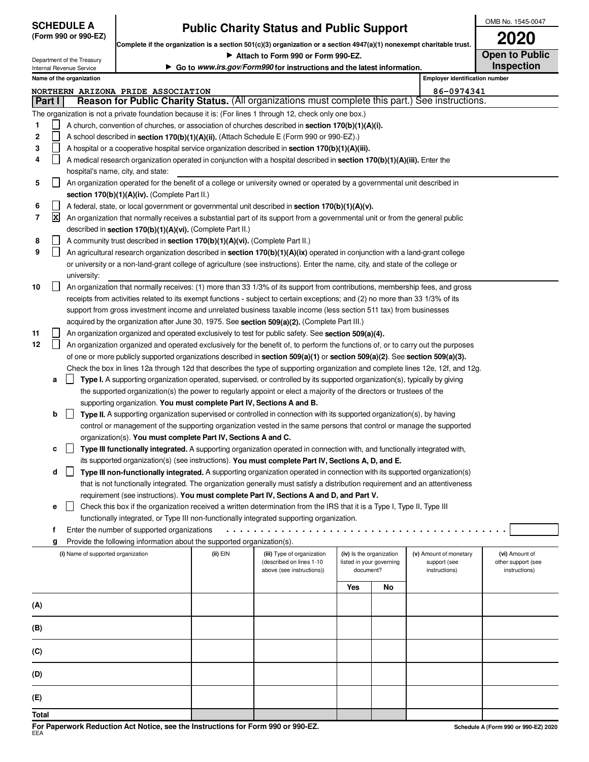| <b>SCHEDULE A</b>     |
|-----------------------|
| $(Form 990 or 990-F)$ |

# **Public Charity Status and Public Support**

OMB No. 1545-0047 **2020**

| Complete if the organization is a section 501(c)(3) organization or a section 4947(a)(1) nonexempt charitable trust. |                                                                                                                           |                                                        |                                                                                  |          |                                                                                                                                                                                                                                                    | ZUZU      |                          |                                       |                                      |
|----------------------------------------------------------------------------------------------------------------------|---------------------------------------------------------------------------------------------------------------------------|--------------------------------------------------------|----------------------------------------------------------------------------------|----------|----------------------------------------------------------------------------------------------------------------------------------------------------------------------------------------------------------------------------------------------------|-----------|--------------------------|---------------------------------------|--------------------------------------|
| Attach to Form 990 or Form 990-EZ.                                                                                   |                                                                                                                           |                                                        |                                                                                  |          | <b>Open to Public</b>                                                                                                                                                                                                                              |           |                          |                                       |                                      |
|                                                                                                                      |                                                                                                                           | Department of the Treasury<br>Internal Revenue Service |                                                                                  |          | Go to www.irs.gov/Form990 for instructions and the latest information.                                                                                                                                                                             |           |                          |                                       | <b>Inspection</b>                    |
|                                                                                                                      |                                                                                                                           | Name of the organization                               |                                                                                  |          |                                                                                                                                                                                                                                                    |           |                          | <b>Employer identification number</b> |                                      |
|                                                                                                                      |                                                                                                                           |                                                        | NORTHERN ARIZONA PRIDE ASSOCIATION                                               |          |                                                                                                                                                                                                                                                    |           |                          | 86-0974341                            |                                      |
|                                                                                                                      | Part I                                                                                                                    |                                                        |                                                                                  |          | Reason for Public Charity Status. (All organizations must complete this part.) See instructions.                                                                                                                                                   |           |                          |                                       |                                      |
|                                                                                                                      |                                                                                                                           |                                                        |                                                                                  |          | The organization is not a private foundation because it is: (For lines 1 through 12, check only one box.)                                                                                                                                          |           |                          |                                       |                                      |
| 1                                                                                                                    |                                                                                                                           |                                                        |                                                                                  |          | A church, convention of churches, or association of churches described in <b>section 170(b)(1)(A)(i).</b>                                                                                                                                          |           |                          |                                       |                                      |
| 2                                                                                                                    |                                                                                                                           |                                                        |                                                                                  |          | A school described in section 170(b)(1)(A)(ii). (Attach Schedule E (Form 990 or 990-EZ).)                                                                                                                                                          |           |                          |                                       |                                      |
| 3                                                                                                                    |                                                                                                                           |                                                        |                                                                                  |          | A hospital or a cooperative hospital service organization described in section 170(b)(1)(A)(iii).                                                                                                                                                  |           |                          |                                       |                                      |
| 4                                                                                                                    | $\Box$                                                                                                                    |                                                        |                                                                                  |          | A medical research organization operated in conjunction with a hospital described in section 170(b)(1)(A)(iii). Enter the                                                                                                                          |           |                          |                                       |                                      |
|                                                                                                                      |                                                                                                                           |                                                        | hospital's name, city, and state:                                                |          |                                                                                                                                                                                                                                                    |           |                          |                                       |                                      |
| 5                                                                                                                    | An organization operated for the benefit of a college or university owned or operated by a governmental unit described in |                                                        |                                                                                  |          |                                                                                                                                                                                                                                                    |           |                          |                                       |                                      |
|                                                                                                                      | ΙI                                                                                                                        |                                                        |                                                                                  |          |                                                                                                                                                                                                                                                    |           |                          |                                       |                                      |
| 6                                                                                                                    |                                                                                                                           |                                                        | section 170(b)(1)(A)(iv). (Complete Part II.)                                    |          | A federal, state, or local government or governmental unit described in section 170(b)(1)(A)(v).                                                                                                                                                   |           |                          |                                       |                                      |
| 7                                                                                                                    | $\mathbf{x}$                                                                                                              |                                                        |                                                                                  |          | An organization that normally receives a substantial part of its support from a governmental unit or from the general public                                                                                                                       |           |                          |                                       |                                      |
|                                                                                                                      |                                                                                                                           |                                                        |                                                                                  |          |                                                                                                                                                                                                                                                    |           |                          |                                       |                                      |
|                                                                                                                      |                                                                                                                           |                                                        | described in section 170(b)(1)(A)(vi). (Complete Part II.)                       |          |                                                                                                                                                                                                                                                    |           |                          |                                       |                                      |
| 8<br>9                                                                                                               | $\perp$                                                                                                                   |                                                        | A community trust described in section 170(b)(1)(A)(vi). (Complete Part II.)     |          | An agricultural research organization described in section 170(b)(1)(A)(ix) operated in conjunction with a land-grant college                                                                                                                      |           |                          |                                       |                                      |
|                                                                                                                      |                                                                                                                           |                                                        |                                                                                  |          | or university or a non-land-grant college of agriculture (see instructions). Enter the name, city, and state of the college or                                                                                                                     |           |                          |                                       |                                      |
|                                                                                                                      |                                                                                                                           | university:                                            |                                                                                  |          |                                                                                                                                                                                                                                                    |           |                          |                                       |                                      |
| 10                                                                                                                   | $\perp$                                                                                                                   |                                                        |                                                                                  |          | An organization that normally receives: (1) more than 33 1/3% of its support from contributions, membership fees, and gross                                                                                                                        |           |                          |                                       |                                      |
|                                                                                                                      |                                                                                                                           |                                                        |                                                                                  |          |                                                                                                                                                                                                                                                    |           |                          |                                       |                                      |
|                                                                                                                      |                                                                                                                           |                                                        |                                                                                  |          | receipts from activities related to its exempt functions - subject to certain exceptions; and (2) no more than 33 1/3% of its<br>support from gross investment income and unrelated business taxable income (less section 511 tax) from businesses |           |                          |                                       |                                      |
|                                                                                                                      |                                                                                                                           |                                                        |                                                                                  |          | acquired by the organization after June 30, 1975. See section 509(a)(2). (Complete Part III.)                                                                                                                                                      |           |                          |                                       |                                      |
| 11                                                                                                                   | ΙI                                                                                                                        |                                                        |                                                                                  |          | An organization organized and operated exclusively to test for public safety. See section 509(a)(4).                                                                                                                                               |           |                          |                                       |                                      |
| 12                                                                                                                   | $\mathsf{L}$                                                                                                              |                                                        |                                                                                  |          | An organization organized and operated exclusively for the benefit of, to perform the functions of, or to carry out the purposes                                                                                                                   |           |                          |                                       |                                      |
|                                                                                                                      |                                                                                                                           |                                                        |                                                                                  |          | of one or more publicly supported organizations described in section 509(a)(1) or section 509(a)(2). See section 509(a)(3).                                                                                                                        |           |                          |                                       |                                      |
|                                                                                                                      |                                                                                                                           |                                                        |                                                                                  |          | Check the box in lines 12a through 12d that describes the type of supporting organization and complete lines 12e, 12f, and 12g.                                                                                                                    |           |                          |                                       |                                      |
|                                                                                                                      | а                                                                                                                         |                                                        |                                                                                  |          | Type I. A supporting organization operated, supervised, or controlled by its supported organization(s), typically by giving                                                                                                                        |           |                          |                                       |                                      |
|                                                                                                                      |                                                                                                                           |                                                        |                                                                                  |          | the supported organization(s) the power to regularly appoint or elect a majority of the directors or trustees of the                                                                                                                               |           |                          |                                       |                                      |
|                                                                                                                      |                                                                                                                           |                                                        | supporting organization. You must complete Part IV, Sections A and B.            |          |                                                                                                                                                                                                                                                    |           |                          |                                       |                                      |
|                                                                                                                      | b                                                                                                                         | $\perp$                                                |                                                                                  |          | Type II. A supporting organization supervised or controlled in connection with its supported organization(s), by having                                                                                                                            |           |                          |                                       |                                      |
|                                                                                                                      |                                                                                                                           |                                                        |                                                                                  |          | control or management of the supporting organization vested in the same persons that control or manage the supported                                                                                                                               |           |                          |                                       |                                      |
|                                                                                                                      |                                                                                                                           |                                                        | organization(s). You must complete Part IV, Sections A and C.                    |          |                                                                                                                                                                                                                                                    |           |                          |                                       |                                      |
|                                                                                                                      | c                                                                                                                         | $\perp$                                                |                                                                                  |          | Type III functionally integrated. A supporting organization operated in connection with, and functionally integrated with,                                                                                                                         |           |                          |                                       |                                      |
|                                                                                                                      |                                                                                                                           |                                                        |                                                                                  |          | its supported organization(s) (see instructions). You must complete Part IV, Sections A, D, and E.                                                                                                                                                 |           |                          |                                       |                                      |
|                                                                                                                      |                                                                                                                           |                                                        |                                                                                  |          | Type III non-functionally integrated. A supporting organization operated in connection with its supported organization(s)                                                                                                                          |           |                          |                                       |                                      |
|                                                                                                                      | d                                                                                                                         |                                                        |                                                                                  |          | that is not functionally integrated. The organization generally must satisfy a distribution requirement and an attentiveness                                                                                                                       |           |                          |                                       |                                      |
|                                                                                                                      |                                                                                                                           |                                                        |                                                                                  |          | requirement (see instructions). You must complete Part IV, Sections A and D, and Part V.                                                                                                                                                           |           |                          |                                       |                                      |
|                                                                                                                      | е                                                                                                                         | $\perp$                                                |                                                                                  |          | Check this box if the organization received a written determination from the IRS that it is a Type I, Type II, Type III                                                                                                                            |           |                          |                                       |                                      |
|                                                                                                                      |                                                                                                                           |                                                        |                                                                                  |          | functionally integrated, or Type III non-functionally integrated supporting organization.                                                                                                                                                          |           |                          |                                       |                                      |
|                                                                                                                      | f                                                                                                                         |                                                        | Enter the number of supported organizations                                      |          |                                                                                                                                                                                                                                                    |           |                          |                                       |                                      |
|                                                                                                                      |                                                                                                                           |                                                        | Provide the following information about the supported organization(s).           |          |                                                                                                                                                                                                                                                    |           |                          |                                       |                                      |
|                                                                                                                      | g                                                                                                                         | (i) Name of supported organization                     |                                                                                  | (ii) EIN | (iii) Type of organization                                                                                                                                                                                                                         |           | (iv) Is the organization | (v) Amount of monetary                | (vi) Amount of                       |
|                                                                                                                      |                                                                                                                           |                                                        |                                                                                  |          | (described on lines 1-10                                                                                                                                                                                                                           |           | listed in your governing | support (see                          | other support (see                   |
|                                                                                                                      |                                                                                                                           |                                                        |                                                                                  |          | above (see instructions))                                                                                                                                                                                                                          | document? |                          | instructions)                         | instructions)                        |
|                                                                                                                      |                                                                                                                           |                                                        |                                                                                  |          |                                                                                                                                                                                                                                                    | Yes       | No                       |                                       |                                      |
|                                                                                                                      |                                                                                                                           |                                                        |                                                                                  |          |                                                                                                                                                                                                                                                    |           |                          |                                       |                                      |
| (A)                                                                                                                  |                                                                                                                           |                                                        |                                                                                  |          |                                                                                                                                                                                                                                                    |           |                          |                                       |                                      |
|                                                                                                                      |                                                                                                                           |                                                        |                                                                                  |          |                                                                                                                                                                                                                                                    |           |                          |                                       |                                      |
| (B)                                                                                                                  |                                                                                                                           |                                                        |                                                                                  |          |                                                                                                                                                                                                                                                    |           |                          |                                       |                                      |
|                                                                                                                      |                                                                                                                           |                                                        |                                                                                  |          |                                                                                                                                                                                                                                                    |           |                          |                                       |                                      |
| (C)                                                                                                                  |                                                                                                                           |                                                        |                                                                                  |          |                                                                                                                                                                                                                                                    |           |                          |                                       |                                      |
|                                                                                                                      |                                                                                                                           |                                                        |                                                                                  |          |                                                                                                                                                                                                                                                    |           |                          |                                       |                                      |
| (D)                                                                                                                  |                                                                                                                           |                                                        |                                                                                  |          |                                                                                                                                                                                                                                                    |           |                          |                                       |                                      |
|                                                                                                                      |                                                                                                                           |                                                        |                                                                                  |          |                                                                                                                                                                                                                                                    |           |                          |                                       |                                      |
| (E)                                                                                                                  |                                                                                                                           |                                                        |                                                                                  |          |                                                                                                                                                                                                                                                    |           |                          |                                       |                                      |
| Total                                                                                                                |                                                                                                                           |                                                        |                                                                                  |          |                                                                                                                                                                                                                                                    |           |                          |                                       |                                      |
|                                                                                                                      |                                                                                                                           |                                                        | For Paperwork Reduction Act Notice, see the Instructions for Form 990 or 990-EZ. |          |                                                                                                                                                                                                                                                    |           |                          |                                       |                                      |
| EEA                                                                                                                  |                                                                                                                           |                                                        |                                                                                  |          |                                                                                                                                                                                                                                                    |           |                          |                                       | Schedule A (Form 990 or 990-EZ) 2020 |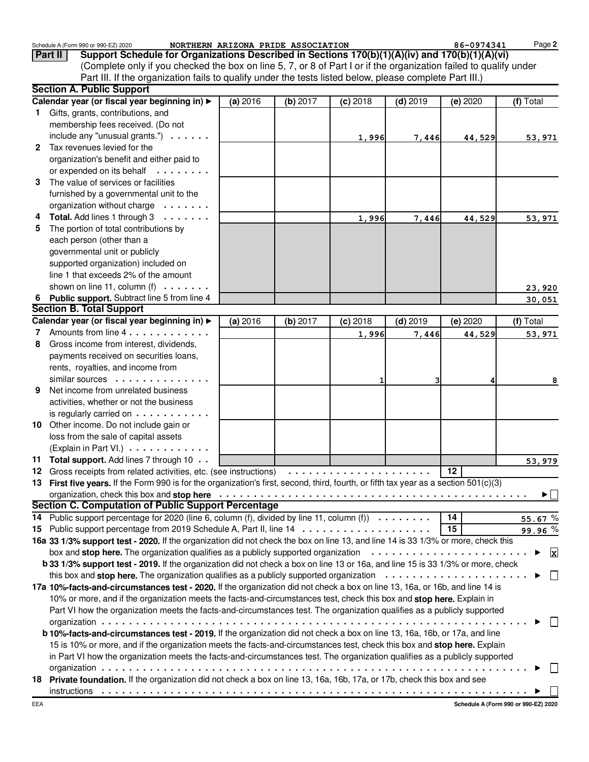|    | Schedule A (Form 990 or 990-EZ) 2020<br>Support Schedule for Organizations Described in Sections 170(b)(1)(A)(iv) and 170(b)(1)(A)(vi)<br>Part II<br>(Complete only if you checked the box on line 5, 7, or 8 of Part I or if the organization failed to qualify under |          | NORTHERN ARIZONA PRIDE ASSOCIATION |            |            | 86-0974341       | Page 2             |
|----|------------------------------------------------------------------------------------------------------------------------------------------------------------------------------------------------------------------------------------------------------------------------|----------|------------------------------------|------------|------------|------------------|--------------------|
|    | Part III. If the organization fails to qualify under the tests listed below, please complete Part III.)                                                                                                                                                                |          |                                    |            |            |                  |                    |
|    | <b>Section A. Public Support</b>                                                                                                                                                                                                                                       |          |                                    |            |            |                  |                    |
|    | Calendar year (or fiscal year beginning in) >                                                                                                                                                                                                                          | (a) 2016 | (b) 2017                           | $(c)$ 2018 | $(d)$ 2019 | $(e)$ 2020       | (f) Total          |
| 1. | Gifts, grants, contributions, and                                                                                                                                                                                                                                      |          |                                    |            |            |                  |                    |
|    | membership fees received. (Do not                                                                                                                                                                                                                                      |          |                                    |            |            |                  |                    |
|    | include any "unusual grants.") $\cdots$ .                                                                                                                                                                                                                              |          |                                    | 1,996      | 7,446      | 44,529           | 53,971             |
|    | 2 Tax revenues levied for the                                                                                                                                                                                                                                          |          |                                    |            |            |                  |                    |
|    | organization's benefit and either paid to                                                                                                                                                                                                                              |          |                                    |            |            |                  |                    |
|    | or expended on its behalf                                                                                                                                                                                                                                              |          |                                    |            |            |                  |                    |
| 3  | The value of services or facilities                                                                                                                                                                                                                                    |          |                                    |            |            |                  |                    |
|    | furnished by a governmental unit to the                                                                                                                                                                                                                                |          |                                    |            |            |                  |                    |
|    | organization without charge                                                                                                                                                                                                                                            |          |                                    |            |            |                  |                    |
|    | Total. Add lines 1 through 3                                                                                                                                                                                                                                           |          |                                    | 1,996      | 7,446      | 44,529           | 53,971             |
| 5  | The portion of total contributions by                                                                                                                                                                                                                                  |          |                                    |            |            |                  |                    |
|    | each person (other than a                                                                                                                                                                                                                                              |          |                                    |            |            |                  |                    |
|    | governmental unit or publicly                                                                                                                                                                                                                                          |          |                                    |            |            |                  |                    |
|    | supported organization) included on                                                                                                                                                                                                                                    |          |                                    |            |            |                  |                    |
|    | line 1 that exceeds 2% of the amount                                                                                                                                                                                                                                   |          |                                    |            |            |                  |                    |
|    | shown on line 11, column $(f) \ldots \ldots$                                                                                                                                                                                                                           |          |                                    |            |            |                  | 23,920             |
|    | 6 Public support. Subtract line 5 from line 4                                                                                                                                                                                                                          |          |                                    |            |            |                  | 30,051             |
|    | <b>Section B. Total Support</b>                                                                                                                                                                                                                                        |          |                                    |            |            |                  |                    |
|    | Calendar year (or fiscal year beginning in) ▶                                                                                                                                                                                                                          | (a) 2016 | (b) 2017                           | $(c)$ 2018 | $(d)$ 2019 | (e) 2020         | (f) Total          |
| 7  | Amounts from line 4                                                                                                                                                                                                                                                    |          |                                    | 1,996      | 7,446      | 44,529           | 53,971             |
| 8  | Gross income from interest, dividends,                                                                                                                                                                                                                                 |          |                                    |            |            |                  |                    |
|    | payments received on securities loans,                                                                                                                                                                                                                                 |          |                                    |            |            |                  |                    |
|    | rents, royalties, and income from                                                                                                                                                                                                                                      |          |                                    |            |            |                  |                    |
|    | similar sources $\dots \dots$                                                                                                                                                                                                                                          |          |                                    |            | з          |                  | 8                  |
| 9  | Net income from unrelated business                                                                                                                                                                                                                                     |          |                                    |            |            |                  |                    |
|    | activities, whether or not the business                                                                                                                                                                                                                                |          |                                    |            |            |                  |                    |
|    | is regularly carried on $\dots \dots \dots$                                                                                                                                                                                                                            |          |                                    |            |            |                  |                    |
|    | 10 Other income. Do not include gain or                                                                                                                                                                                                                                |          |                                    |            |            |                  |                    |
|    | loss from the sale of capital assets                                                                                                                                                                                                                                   |          |                                    |            |            |                  |                    |
|    | (Explain in Part VI.)                                                                                                                                                                                                                                                  |          |                                    |            |            |                  |                    |
|    | 11 Total support. Add lines 7 through 10                                                                                                                                                                                                                               |          |                                    |            |            |                  | 53,979             |
|    | 12 Gross receipts from related activities, etc. (see instructions)                                                                                                                                                                                                     |          |                                    |            |            | 12               |                    |
|    | 13 First five years. If the Form 990 is for the organization's first, second, third, fourth, or fifth tax year as a section 501(c)(3)                                                                                                                                  |          |                                    |            |            |                  |                    |
|    |                                                                                                                                                                                                                                                                        |          |                                    |            |            |                  | ▸∐                 |
|    | <b>Section C. Computation of Public Support Percentage</b>                                                                                                                                                                                                             |          |                                    |            |            |                  |                    |
| 14 | Public support percentage for 2020 (line 6, column $(f)$ , divided by line 11, column $(f)$ )                                                                                                                                                                          |          |                                    |            |            | $\overline{1}$ 4 | 55.67 $%$          |
|    | 15 Public support percentage from 2019 Schedule A, Part II, line 14                                                                                                                                                                                                    |          |                                    |            |            | 15               | 99.96 %            |
|    | 16a 33 1/3% support test - 2020. If the organization did not check the box on line 13, and line 14 is 33 1/3% or more, check this                                                                                                                                      |          |                                    |            |            |                  |                    |
|    | box and stop here. The organization qualifies as a publicly supported organization $\cdots \cdots \cdots \cdots \cdots \cdots \cdots$                                                                                                                                  |          |                                    |            |            |                  | $\mathbf{x}$<br>Þ. |
|    | b 33 1/3% support test - 2019. If the organization did not check a box on line 13 or 16a, and line 15 is 33 1/3% or more, check<br>this box and stop here. The organization qualifies as a publicly supported organization $\cdots \cdots \cdots \cdots \cdots \cdots$ |          |                                    |            |            |                  | $\Box$<br>▶        |
|    |                                                                                                                                                                                                                                                                        |          |                                    |            |            |                  |                    |
|    | 17a 10%-facts-and-circumstances test - 2020. If the organization did not check a box on line 13, 16a, or 16b, and line 14 is<br>10% or more, and if the organization meets the facts-and-circumstances test, check this box and stop here. Explain in                  |          |                                    |            |            |                  |                    |
|    | Part VI how the organization meets the facts-and-circumstances test. The organization qualifies as a publicly supported                                                                                                                                                |          |                                    |            |            |                  |                    |
|    |                                                                                                                                                                                                                                                                        |          |                                    |            |            |                  | $\Box$             |
|    | b 10%-facts-and-circumstances test - 2019. If the organization did not check a box on line 13, 16a, 16b, or 17a, and line                                                                                                                                              |          |                                    |            |            |                  |                    |
|    | 15 is 10% or more, and if the organization meets the facts-and-circumstances test, check this box and stop here. Explain                                                                                                                                               |          |                                    |            |            |                  |                    |
|    | in Part VI how the organization meets the facts-and-circumstances test. The organization qualifies as a publicly supported                                                                                                                                             |          |                                    |            |            |                  |                    |
|    |                                                                                                                                                                                                                                                                        |          |                                    |            |            |                  |                    |
|    | 18 Private foundation. If the organization did not check a box on line 13, 16a, 16b, 17a, or 17b, check this box and see                                                                                                                                               |          |                                    |            |            |                  |                    |
|    |                                                                                                                                                                                                                                                                        |          |                                    |            |            |                  |                    |
|    |                                                                                                                                                                                                                                                                        |          |                                    |            |            |                  |                    |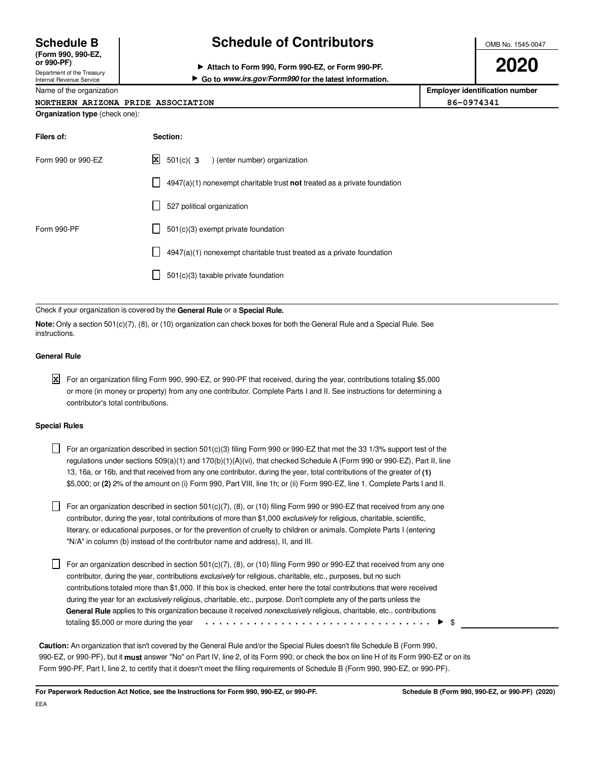**(Form 990, 990-EZ,**

Department of the Treasury Internal Revenue Service

## **Schedule B Schedule of Contributors**

OMB No. 1545-0047

**or 990-PF) Attach to Form 990, Form 990-EZ, or Form 990-PF. Go to www.irs.gov/Form990 for the latest information.** **2020**

| Name of the organization              |          | <b>Employer identification number</b> |  |  |  |  |
|---------------------------------------|----------|---------------------------------------|--|--|--|--|
| NORTHERN ARIZONA PRIDE ASSOCIATION    |          | 86-0974341                            |  |  |  |  |
| <b>Organization type</b> (check one): |          |                                       |  |  |  |  |
| Filers of:                            | Section: |                                       |  |  |  |  |

| $\mathbf{X}$ 501(c)( 3 ) (enter number) organization                        |
|-----------------------------------------------------------------------------|
| $4947(a)(1)$ nonexempt charitable trust not treated as a private foundation |
| 527 political organization<br>$\Box$                                        |
| $501(c)(3)$ exempt private foundation                                       |
| 4947(a)(1) nonexempt charitable trust treated as a private foundation       |
| 501(c)(3) taxable private foundation                                        |
|                                                                             |

Check if your organization is covered by the **General Rule** or a **Special Rule.**

**Note:** Only a section 501(c)(7), (8), or (10) organization can check boxes for both the General Rule and a Special Rule. See instructions.

### **General Rule**

For an organization filing Form 990, 990-EZ, or 990-PF that received, during the year, contributions totaling \$5,000 **X**or more (in money or property) from any one contributor. Complete Parts I and II. See instructions for determining a contributor's total contributions.

### **Special Rules**

For an organization described in section 501(c)(3) filing Form 990 or 990-EZ that met the 33 1/3% support test of the regulations under sections 509(a)(1) and 170(b)(1)(A)(vi), that checked Schedule A (Form 990 or 990-EZ), Part II, line 13, 16a, or 16b, and that received from any one contributor, during the year, total contributions of the greater of **(1)** \$5,000; or **(2)** 2% of the amount on (i) Form 990, Part VIII, line 1h; or (ii) Form 990-EZ, line 1. Complete Parts I and II.

For an organization described in section  $501(c)(7)$ , (8), or (10) filing Form 990 or 990-EZ that received from any one contributor, during the year, total contributions of more than \$1,000 exclusively for religious, charitable, scientific, literary, or educational purposes, or for the prevention of cruelty to children or animals. Complete Parts I (entering "N/A" in column (b) instead of the contributor name and address), II, and III.

For an organization described in section 501(c)(7), (8), or (10) filing Form 990 or 990-EZ that received from any one contributor, during the year, contributions exclusively for religious, charitable, etc., purposes, but no such contributions totaled more than \$1,000. If this box is checked, enter here the total contributions that were received during the year for an exclusively religious, charitable, etc., purpose. Don't complete any of the parts unless the **General Rule** applies to this organization because it received nonexclusively religious, charitable, etc., contributions totaling \$5,000 or more during the year \$ . . . . . . . . . . . . . . . . . . . . . . . . . . . . . . . . .

**Caution:** An organization that isn't covered by the General Rule and/or the Special Rules doesn't file Schedule B (Form 990, 990-EZ, or 990-PF), but it **must** answer "No" on Part IV, line 2, of its Form 990; or check the box on line H of its Form 990-EZ or on its Form 990-PF, Part I, line 2, to certify that it doesn't meet the filing requirements of Schedule B (Form 990, 990-EZ, or 990-PF).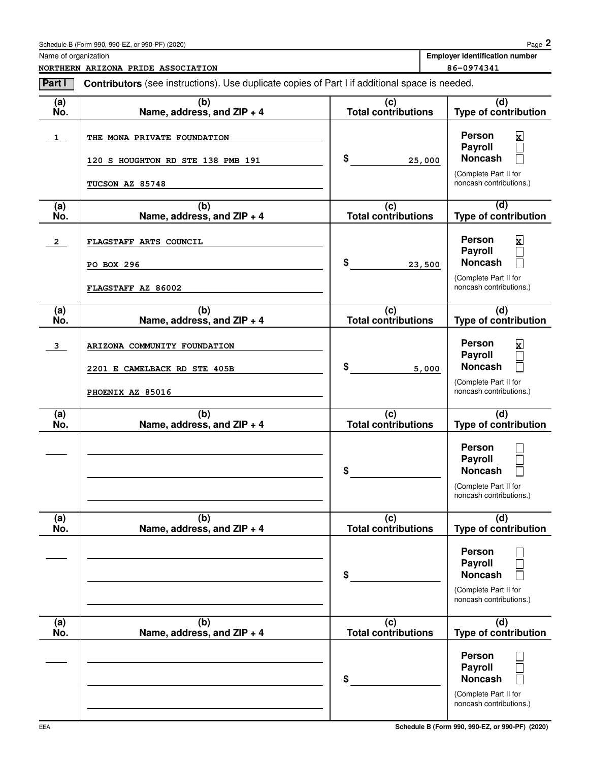Name of organization **Employer identification number Employer identification number** 

**NORTHERN ARIZONA PRIDE ASSOCIATION 86-0974341** 

| Part I                  | <b>Contributors</b> (see instructions). Use duplicate copies of Part I if additional space is needed. |                                   |                                                                                                                       |  |  |  |  |
|-------------------------|-------------------------------------------------------------------------------------------------------|-----------------------------------|-----------------------------------------------------------------------------------------------------------------------|--|--|--|--|
| (a)<br>No.              | (b)<br>Name, address, and ZIP + 4                                                                     | (c)<br><b>Total contributions</b> | (d)<br><b>Type of contribution</b>                                                                                    |  |  |  |  |
| $\mathbf{1}$            | THE MONA PRIVATE FOUNDATION<br>120 S HOUGHTON RD STE 138 PMB 191<br>TUCSON AZ 85748                   | \$<br>25,000                      | Person<br>$\mathbf x$<br>Payroll<br>Г<br><b>Noncash</b><br>$\Box$<br>(Complete Part II for<br>noncash contributions.) |  |  |  |  |
| (a)<br>No.              | (b)<br>Name, address, and ZIP + 4                                                                     | (c)<br><b>Total contributions</b> | (d)<br>Type of contribution                                                                                           |  |  |  |  |
| $\overline{2}$          | FLAGSTAFF ARTS COUNCIL<br>PO BOX 296<br>FLAGSTAFF AZ 86002                                            | \$<br>23,500                      | Person<br>X<br>Payroll<br>$\Box$<br><b>Noncash</b><br>Г<br>(Complete Part II for<br>noncash contributions.)           |  |  |  |  |
| (a)<br>No.              | (b)<br>Name, address, and ZIP + 4                                                                     | (c)<br><b>Total contributions</b> | (d)<br>Type of contribution                                                                                           |  |  |  |  |
| $\overline{\mathbf{3}}$ | ARIZONA COMMUNITY FOUNDATION<br>2201 E CAMELBACK RD STE 405B<br>PHOENIX AZ 85016                      | \$<br>5,000                       | Person<br>$\mathbf x$<br>Payroll<br><b>Noncash</b><br>(Complete Part II for<br>noncash contributions.)                |  |  |  |  |
| (a)<br>No.              | (b)<br>Name, address, and ZIP + 4                                                                     | (c)<br><b>Total contributions</b> | (d)<br>Type of contribution                                                                                           |  |  |  |  |
|                         |                                                                                                       | \$                                | Person<br>Payroll<br><b>Noncash</b><br>(Complete Part II for<br>noncash contributions.)                               |  |  |  |  |
| (a)<br>No.              | (b)<br>Name, address, and ZIP + 4                                                                     | (c)<br><b>Total contributions</b> | (d)<br><b>Type of contribution</b>                                                                                    |  |  |  |  |
|                         |                                                                                                       | \$                                | <b>Person</b><br>Payroll<br><b>Noncash</b><br>(Complete Part II for<br>noncash contributions.)                        |  |  |  |  |
| (a)<br>No.              | (b)<br>Name, address, and ZIP + 4                                                                     | (c)<br><b>Total contributions</b> | (d)<br><b>Type of contribution</b>                                                                                    |  |  |  |  |
|                         |                                                                                                       | \$                                | <b>Person</b><br>Payroll<br><b>Noncash</b><br>(Complete Part II for<br>noncash contributions.)                        |  |  |  |  |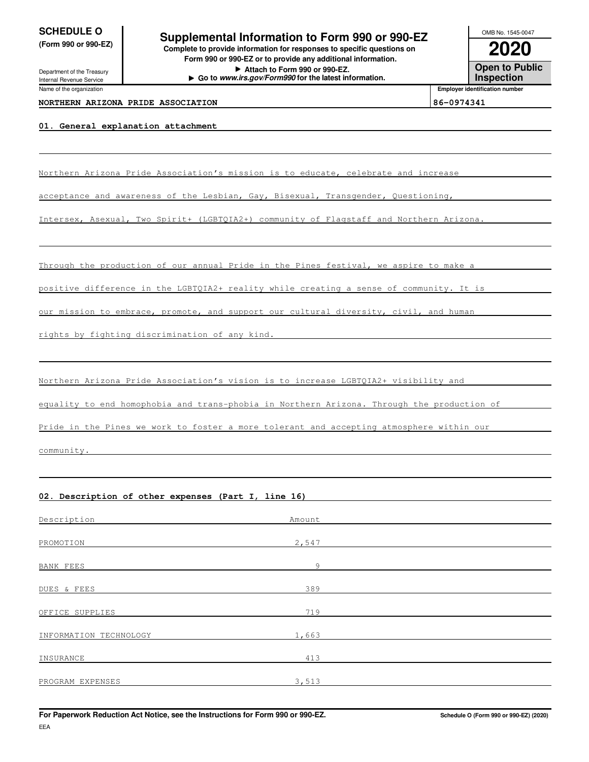Name of the organization

**SCHEDULE O**<br> **Supplemental Information to Form 990 or 990-EZ**<br> **Supplemental Information to Form 990 or 990-EZ (Form 990 or 990-EZ) Complete to provide information for responses to specific questions on**

**Form 990 or 990-EZ or to provide any additional information. Attach to Form 990 or 990-EZ. Go to www.irs.gov/Form990 for the latest information.** Department of the Treasury Internal Revenue Service

**2020 Open to Public Inspection** OMB No. 1545-0047

**Employer identification number**

#### **NORTHERN ARIZONA PRIDE ASSOCIATION 86-0974341**

#### **01. General explanation attachment**

Northern Arizona Pride Association's mission is to educate, celebrate and increase

acceptance and awareness of the Lesbian, Gay, Bisexual, Transgender, Questioning,

Intersex, Asexual, Two Spirit+ (LGBTQIA2+) community of Flagstaff and Northern Arizona

Through the production of our annual Pride in the Pines festival, we aspire to make a

positive difference in the LGBTQIA2+ reality while creating a sense of community. It is

our mission to embrace, promote, and support our cultural diversity, civil, and human

rights by fighting discrimination of any kind.

Northern Arizona Pride Association's vision is to increase LGBTQIA2+ visibility and

equality to end homophobia and trans-phobia in Northern Arizona. Through the production of

Pride in the Pines we work to foster a more tolerant and accepting atmosphere within our

community.

EEA

#### **02. Description of other expenses (Part I, line 16)**

| Description            | Amount |  |
|------------------------|--------|--|
|                        |        |  |
| PROMOTION              | 2,547  |  |
| <b>BANK FEES</b>       | 9      |  |
| DUES & FEES            | 389    |  |
| OFFICE SUPPLIES        | 719    |  |
| INFORMATION TECHNOLOGY | 1,663  |  |
| INSURANCE              | 413    |  |
|                        |        |  |
| PROGRAM EXPENSES       | 3,513  |  |